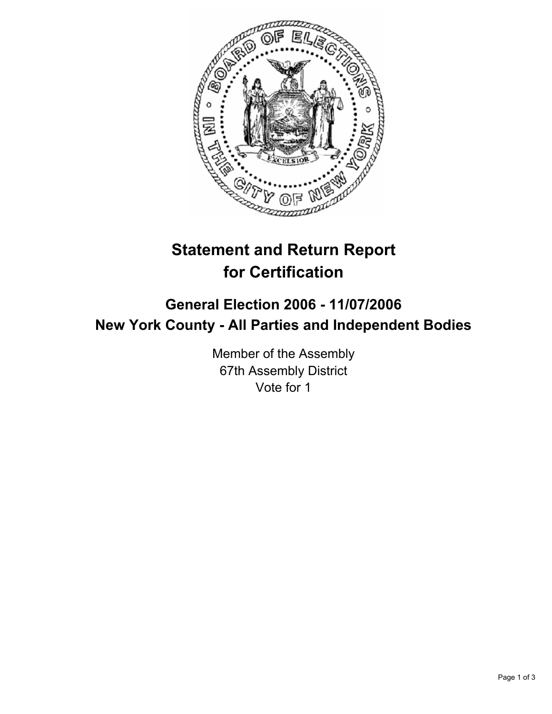

# **Statement and Return Report for Certification**

# **General Election 2006 - 11/07/2006 New York County - All Parties and Independent Bodies**

Member of the Assembly 67th Assembly District Vote for 1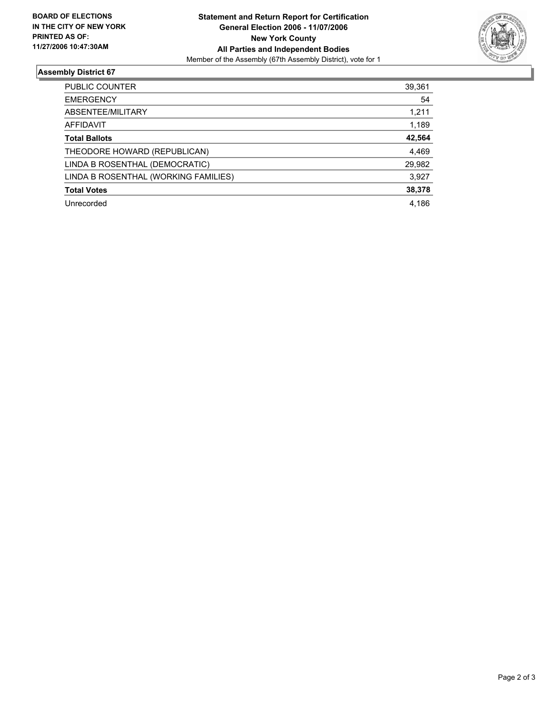

## **Assembly District 67**

| PUBLIC COUNTER                       | 39,361 |
|--------------------------------------|--------|
| <b>EMERGENCY</b>                     | 54     |
| ABSENTEE/MILITARY                    | 1,211  |
| AFFIDAVIT                            | 1,189  |
| <b>Total Ballots</b>                 | 42,564 |
| THEODORE HOWARD (REPUBLICAN)         | 4,469  |
| LINDA B ROSENTHAL (DEMOCRATIC)       | 29,982 |
| LINDA B ROSENTHAL (WORKING FAMILIES) | 3,927  |
| <b>Total Votes</b>                   | 38,378 |
| Unrecorded                           | 4,186  |